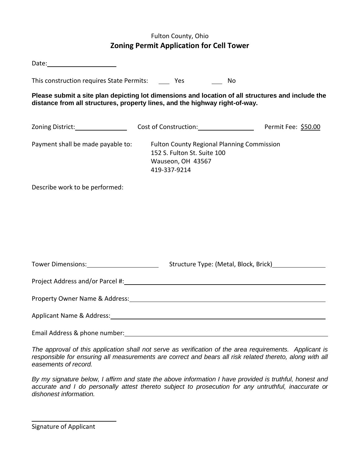## Fulton County, Ohio **Zoning Permit Application for Cell Tower**

| Date: <u>www.community.com and the set of the set of the set of the set of the set of the set of the set of the set of the set of the set of the set of the set of the set of the set of the set of the set of the set of the se</u> |                                                                                                                       |                                              |  |
|--------------------------------------------------------------------------------------------------------------------------------------------------------------------------------------------------------------------------------------|-----------------------------------------------------------------------------------------------------------------------|----------------------------------------------|--|
| This construction requires State Permits: Yes                                                                                                                                                                                        |                                                                                                                       | No                                           |  |
| Please submit a site plan depicting lot dimensions and location of all structures and include the<br>distance from all structures, property lines, and the highway right-of-way.                                                     |                                                                                                                       |                                              |  |
|                                                                                                                                                                                                                                      |                                                                                                                       | Cost of Construction: Permit Fee: \$50.00    |  |
| Payment shall be made payable to:                                                                                                                                                                                                    | <b>Fulton County Regional Planning Commission</b><br>152 S. Fulton St. Suite 100<br>Wauseon, OH 43567<br>419-337-9214 |                                              |  |
| Describe work to be performed:                                                                                                                                                                                                       |                                                                                                                       |                                              |  |
| Tower Dimensions: 1999                                                                                                                                                                                                               |                                                                                                                       | Structure Type: (Metal, Block, Brick) [1982] |  |
|                                                                                                                                                                                                                                      |                                                                                                                       |                                              |  |
|                                                                                                                                                                                                                                      |                                                                                                                       |                                              |  |
| Applicant Name & Address: Name of Address and Applicant Name & Address:                                                                                                                                                              |                                                                                                                       |                                              |  |
| Email Address & phone number:                                                                                                                                                                                                        |                                                                                                                       |                                              |  |

*The approval of this application shall not serve as verification of the area requirements. Applicant is responsible for ensuring all measurements are correct and bears all risk related thereto, along with all easements of record.* 

*By my signature below, I affirm and state the above information I have provided is truthful, honest and accurate and I do personally attest thereto subject to prosecution for any untruthful, inaccurate or dishonest information.*

Signature of Applicant